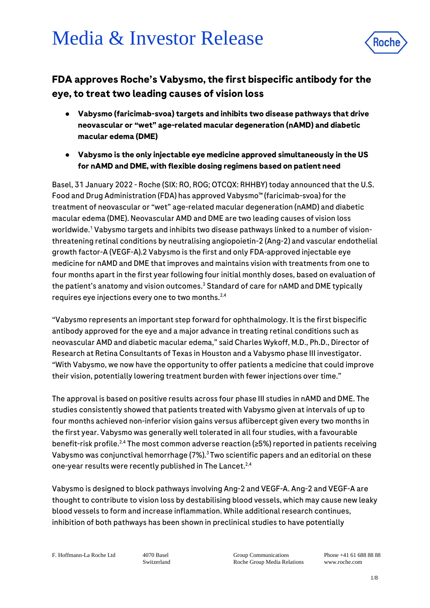# Media & Investor Release



# **FDA approves Roche's Vabysmo, the first bispecific antibody for the eye, to treat two leading causes of vision loss**

- **Vabysmo (faricimab-svoa) targets and inhibits two disease pathways that drive neovascular or "wet" age-related macular degeneration (nAMD) and diabetic macular edema (DME)**
- **Vabysmo is the only injectable eye medicine approved simultaneously in the US for nAMD and DME, with flexible dosing regimens based on patient need**

Basel, 31 January 2022 - Roche (SIX: RO, ROG; OTCQX: RHHBY) today announced that the U.S. Food and Drug Administration (FDA) has approved Vabysmo™ (faricimab-svoa) for the treatment of neovascular or "wet" age-related macular degeneration (nAMD) and diabetic macular edema (DME). Neovascular AMD and DME are two leading causes of vision loss worldwide.<sup>1</sup> Vabysmo targets and inhibits two disease pathways linked to a number of visionthreatening retinal conditions by neutralising angiopoietin-2 (Ang-2) and vascular endothelial growth factor-A (VEGF-A).2 Vabysmo is the first and only FDA-approved injectable eye medicine for nAMD and DME that improves and maintains vision with treatments from one to four months apart in the first year following four initial monthly doses, based on evaluation of the patient's anatomy and vision outcomes.<sup>3</sup> Standard of care for nAMD and DME typically requires eye injections every one to two months.2,4

"Vabysmo represents an important step forward for ophthalmology. It is the first bispecific antibody approved for the eye and a major advance in treating retinal conditions such as neovascular AMD and diabetic macular edema," said Charles Wykoff, M.D., Ph.D., Director of Research at Retina Consultants of Texas in Houston and a Vabysmo phase III investigator. "With Vabysmo, we now have the opportunity to offer patients a medicine that could improve their vision, potentially lowering treatment burden with fewer injections over time."

The approval is based on positive results across four phase III studies in nAMD and DME. The studies consistently showed that patients treated with Vabysmo given at intervals of up to four months achieved non-inferior vision gains versus aflibercept given every two months in the first year. Vabysmo was generally well tolerated in all four studies, with a favourable benefit-risk profile.<sup>2,4</sup> The most common adverse reaction ( $\geq$ 5%) reported in patients receiving Vabysmo was conjunctival hemorrhage (7%).<sup>3</sup>Two scientific papers and an editorial on these one-year results were recently published in The Lancet.<sup>2,4</sup>

Vabysmo is designed to block pathways involving Ang-2 and VEGF-A. Ang-2 and VEGF-A are thought to contribute to vision loss by destabilising blood vessels, which may cause new leaky blood vessels to form and increase inflammation. While additional research continues, inhibition of both pathways has been shown in preclinical studies to have potentially

F. Hoffmann-La Roche Ltd 4070 Basel

Switzerland

Group Communications Roche Group Media Relations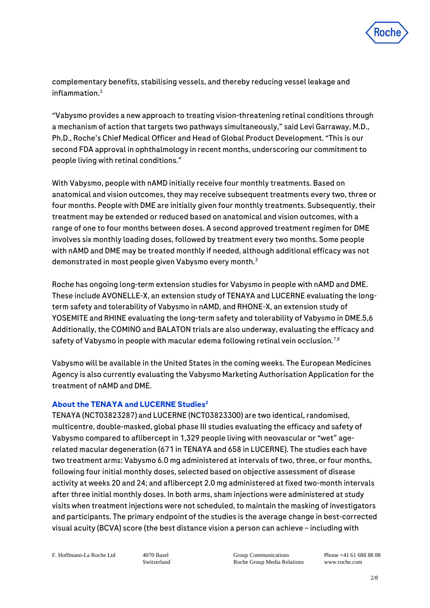

complementary benefits, stabilising vessels, and thereby reducing vessel leakage and inflammation.<sup>2</sup>

"Vabysmo provides a new approach to treating vision-threatening retinal conditions through a mechanism of action that targets two pathways simultaneously," said Levi Garraway, M.D., Ph.D., Roche's Chief Medical Officer and Head of Global Product Development. "This is our second FDA approval in ophthalmology in recent months, underscoring our commitment to people living with retinal conditions."

With Vabysmo, people with nAMD initially receive four monthly treatments. Based on anatomical and vision outcomes, they may receive subsequent treatments every two, three or four months. People with DME are initially given four monthly treatments. Subsequently, their treatment may be extended or reduced based on anatomical and vision outcomes, with a range of one to four months between doses. A second approved treatment regimen for DME involves six monthly loading doses, followed by treatment every two months. Some people with nAMD and DME may be treated monthly if needed, although additional efficacy was not demonstrated in most people given Vabysmo every month.<sup>3</sup>

Roche has ongoing long-term extension studies for Vabysmo in people with nAMD and DME. These include AVONELLE-X, an extension study of TENAYA and LUCERNE evaluating the longterm safety and tolerability of Vabysmo in nAMD, and RHONE-X, an extension study of YOSEMITE and RHINE evaluating the long-term safety and tolerability of Vabysmo in DME.5,6 Additionally, the COMINO and BALATON trials are also underway, evaluating the efficacy and safety of Vabysmo in people with macular edema following retinal vein occlusion.<sup>7,8</sup>

Vabysmo will be available in the United States in the coming weeks. The European Medicines Agency is also currently evaluating the Vabysmo Marketing Authorisation Application for the treatment of nAMD and DME.

# **About the TENAYA and LUCERNE Studies<sup>2</sup>**

TENAYA (NCT03823287) and LUCERNE (NCT03823300) are two identical, randomised, multicentre, double-masked, global phase III studies evaluating the efficacy and safety of Vabysmo compared to aflibercept in 1,329 people living with neovascular or "wet" agerelated macular degeneration (671 in TENAYA and 658 in LUCERNE). The studies each have two treatment arms: Vabysmo 6.0 mg administered at intervals of two, three, or four months, following four initial monthly doses, selected based on objective assessment of disease activity at weeks 20 and 24; and aflibercept 2.0 mg administered at fixed two-month intervals after three initial monthly doses. In both arms, sham injections were administered at study visits when treatment injections were not scheduled, to maintain the masking of investigators and participants. The primary endpoint of the studies is the average change in best-corrected visual acuity (BCVA) score (the best distance vision a person can achieve – including with

F. Hoffmann-La Roche Ltd 4070 Basel

Switzerland

Group Communications Roche Group Media Relations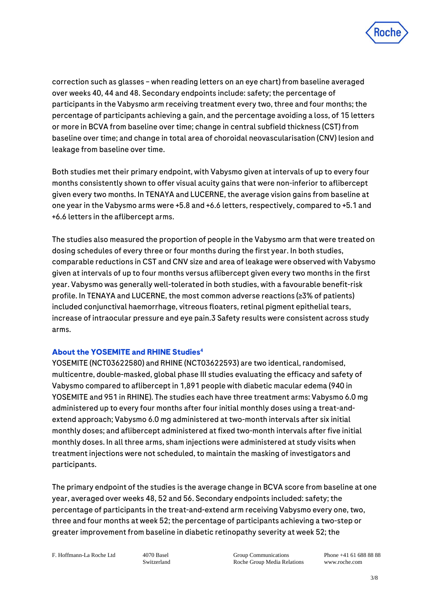

correction such as glasses – when reading letters on an eye chart) from baseline averaged over weeks 40, 44 and 48. Secondary endpoints include: safety; the percentage of participants in the Vabysmo arm receiving treatment every two, three and four months; the percentage of participants achieving a gain, and the percentage avoiding a loss, of 15 letters or more in BCVA from baseline over time; change in central subfield thickness (CST) from baseline over time; and change in total area of choroidal neovascularisation (CNV) lesion and leakage from baseline over time.

Both studies met their primary endpoint, with Vabysmo given at intervals of up to every four months consistently shown to offer visual acuity gains that were non-inferior to aflibercept given every two months. In TENAYA and LUCERNE, the average vision gains from baseline at one year in the Vabysmo arms were +5.8 and +6.6 letters, respectively, compared to +5.1 and +6.6 letters in the aflibercept arms.

The studies also measured the proportion of people in the Vabysmo arm that were treated on dosing schedules of every three or four months during the first year. In both studies, comparable reductions in CST and CNV size and area of leakage were observed with Vabysmo given at intervals of up to four months versus aflibercept given every two months in the first year. Vabysmo was generally well-tolerated in both studies, with a favourable benefit-risk profile. In TENAYA and LUCERNE, the most common adverse reactions (≥3% of patients) included conjunctival haemorrhage, vitreous floaters, retinal pigment epithelial tears, increase of intraocular pressure and eye pain.3 Safety results were consistent across study arms.

### **About the YOSEMITE and RHINE Studies<sup>4</sup>**

YOSEMITE (NCT03622580) and RHINE (NCT03622593) are two identical, randomised, multicentre, double-masked, global phase III studies evaluating the efficacy and safety of Vabysmo compared to aflibercept in 1,891 people with diabetic macular edema (940 in YOSEMITE and 951 in RHINE). The studies each have three treatment arms: Vabysmo 6.0 mg administered up to every four months after four initial monthly doses using a treat-andextend approach; Vabysmo 6.0 mg administered at two-month intervals after six initial monthly doses; and aflibercept administered at fixed two-month intervals after five initial monthly doses. In all three arms, sham injections were administered at study visits when treatment injections were not scheduled, to maintain the masking of investigators and participants.

The primary endpoint of the studies is the average change in BCVA score from baseline at one year, averaged over weeks 48, 52 and 56. Secondary endpoints included: safety; the percentage of participants in the treat-and-extend arm receiving Vabysmo every one, two, three and four months at week 52; the percentage of participants achieving a two-step or greater improvement from baseline in diabetic retinopathy severity at week 52; the

F. Hoffmann-La Roche Ltd 4070 Basel

Switzerland

Group Communications Roche Group Media Relations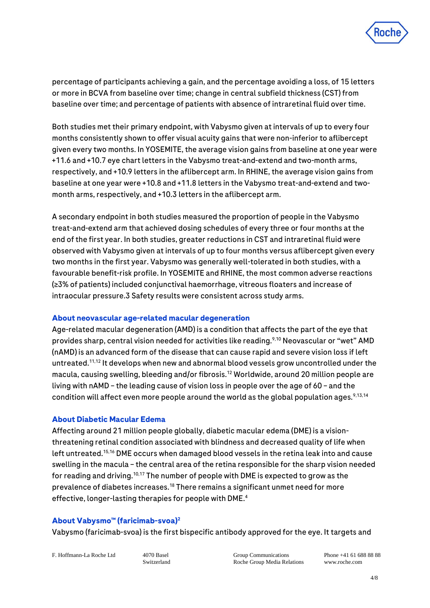

percentage of participants achieving a gain, and the percentage avoiding a loss, of 15 letters or more in BCVA from baseline over time; change in central subfield thickness (CST) from baseline over time; and percentage of patients with absence of intraretinal fluid over time.

Both studies met their primary endpoint, with Vabysmo given at intervals of up to every four months consistently shown to offer visual acuity gains that were non-inferior to aflibercept given every two months. In YOSEMITE, the average vision gains from baseline at one year were +11.6 and +10.7 eye chart letters in the Vabysmo treat-and-extend and two-month arms, respectively, and +10.9 letters in the aflibercept arm. In RHINE, the average vision gains from baseline at one year were +10.8 and +11.8 letters in the Vabysmo treat-and-extend and twomonth arms, respectively, and +10.3 letters in the aflibercept arm.

A secondary endpoint in both studies measured the proportion of people in the Vabysmo treat-and-extend arm that achieved dosing schedules of every three or four months at the end of the first year. In both studies, greater reductions in CST and intraretinal fluid were observed with Vabysmo given at intervals of up to four months versus aflibercept given every two months in the first year. Vabysmo was generally well-tolerated in both studies, with a favourable benefit-risk profile. In YOSEMITE and RHINE, the most common adverse reactions (≥3% of patients) included conjunctival haemorrhage, vitreous floaters and increase of intraocular pressure.3 Safety results were consistent across study arms.

### **About neovascular age-related macular degeneration**

Age-related macular degeneration (AMD) is a condition that affects the part of the eye that provides sharp, central vision needed for activities like reading.9,10 Neovascular or "wet" AMD (nAMD) is an advanced form of the disease that can cause rapid and severe vision loss if left untreated.<sup>11,12</sup> It develops when new and abnormal blood vessels grow uncontrolled under the macula, causing swelling, bleeding and/or fibrosis.<sup>12</sup> Worldwide, around 20 million people are living with nAMD – the leading cause of vision loss in people over the age of 60 – and the condition will affect even more people around the world as the global population ages.  $9,13,14$ 

#### **About Diabetic Macular Edema**

Affecting around 21 million people globally, diabetic macular edema (DME) is a visionthreatening retinal condition associated with blindness and decreased quality of life when left untreated.15,16 DME occurs when damaged blood vessels in the retina leak into and cause swelling in the macula – the central area of the retina responsible for the sharp vision needed for reading and driving.10,17 The number of people with DME is expected to grow as the prevalence of diabetes increases.<sup>18</sup> There remains a significant unmet need for more effective, longer-lasting therapies for people with DME.<sup>4</sup>

### **About Vabysmo™ (faricimab-svoa)<sup>2</sup>**

Vabysmo (faricimab-svoa) is the first bispecific antibody approved for the eye. It targets and

F. Hoffmann-La Roche Ltd 4070 Basel

Switzerland

Group Communications Roche Group Media Relations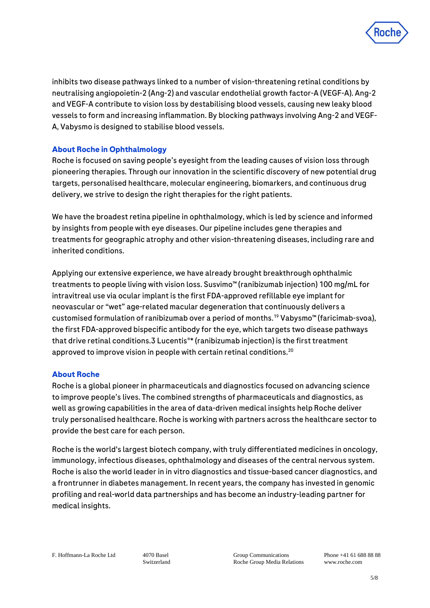

inhibits two disease pathways linked to a number of vision-threatening retinal conditions by neutralising angiopoietin-2 (Ang-2) and vascular endothelial growth factor-A (VEGF-A). Ang-2 and VEGF-A contribute to vision loss by destabilising blood vessels, causing new leaky blood vessels to form and increasing inflammation. By blocking pathways involving Ang-2 and VEGF-A, Vabysmo is designed to stabilise blood vessels.

# **About Roche in Ophthalmology**

Roche is focused on saving people's eyesight from the leading causes of vision loss through pioneering therapies. Through our innovation in the scientific discovery of new potential drug targets, personalised healthcare, molecular engineering, biomarkers, and continuous drug delivery, we strive to design the right therapies for the right patients.

We have the broadest retina pipeline in ophthalmology, which is led by science and informed by insights from people with eye diseases. Our pipeline includes gene therapies and treatments for geographic atrophy and other vision-threatening diseases, including rare and inherited conditions.

Applying our extensive experience, we have already brought breakthrough ophthalmic treatments to people living with vision loss. Susvimo™ (ranibizumab injection) 100 mg/mL for intravitreal use via ocular implant is the first FDA-approved refillable eye implant for neovascular or "wet" age-related macular degeneration that continuously delivers a customised formulation of ranibizumab over a period of months.<sup>19</sup> Vabysmo™ (faricimab-svoa), the first FDA-approved bispecific antibody for the eye, which targets two disease pathways that drive retinal conditions.3 Lucentis<sup>®\*</sup> (ranibizumab injection) is the first treatment approved to improve vision in people with certain retinal conditions.<sup>20</sup>

### **About Roche**

Roche is a global pioneer in pharmaceuticals and diagnostics focused on advancing science to improve people's lives. The combined strengths of pharmaceuticals and diagnostics, as well as growing capabilities in the area of data-driven medical insights help Roche deliver truly personalised healthcare. Roche is working with partners across the healthcare sector to provide the best care for each person.

Roche is the world's largest biotech company, with truly differentiated medicines in oncology, immunology, infectious diseases, ophthalmology and diseases of the central nervous system. Roche is also the world leader in in vitro diagnostics and tissue-based cancer diagnostics, and a frontrunner in diabetes management. In recent years, the company has invested in genomic profiling and real-world data partnerships and has become an industry-leading partner for medical insights.

Switzerland

Group Communications Roche Group Media Relations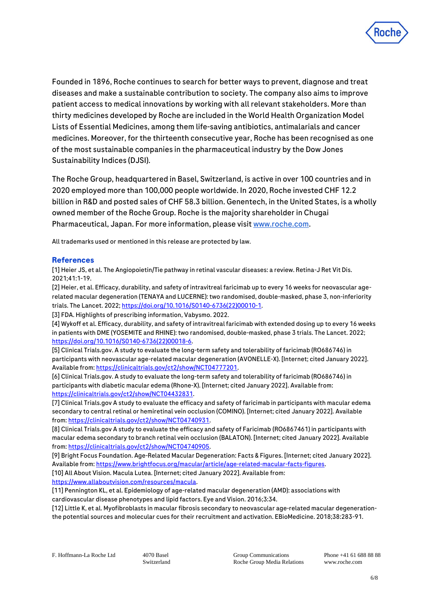

Founded in 1896, Roche continues to search for better ways to prevent, diagnose and treat diseases and make a sustainable contribution to society. The company also aims to improve patient access to medical innovations by working with all relevant stakeholders. More than thirty medicines developed by Roche are included in the World Health Organization Model Lists of Essential Medicines, among them life-saving antibiotics, antimalarials and cancer medicines. Moreover, for the thirteenth consecutive year, Roche has been recognised as one of the most sustainable companies in the pharmaceutical industry by the Dow Jones Sustainability Indices (DJSI).

The Roche Group, headquartered in Basel, Switzerland, is active in over 100 countries and in 2020 employed more than 100,000 people worldwide. In 2020, Roche invested CHF 12.2 billion in R&D and posted sales of CHF 58.3 billion. Genentech, in the United States, is a wholly owned member of the Roche Group. Roche is the majority shareholder in Chugai Pharmaceutical, Japan. For more information, please visit [www.roche.com.](http://www.roche.com/)

All trademarks used or mentioned in this release are protected by law.

#### **References**

[1] Heier JS, et al. The Angiopoietin/Tie pathway in retinal vascular diseases: a review. Retina-J Ret Vit Dis. 2021;41:1-19.

[2] Heier, et al. Efficacy, durability, and safety of intravitreal faricimab up to every 16 weeks for neovascular agerelated macular degeneration (TENAYA and LUCERNE): two randomised, double-masked, phase 3, non-inferiority trials. The Lancet. 2022[; https://doi.org/10.1016/S0140-6736\(22\)00010-1.](https://doi.org/10.1016/S0140-6736(22)00010-1)

[3] FDA. Highlights of prescribing information, Vabysmo. 2022.

[4] Wykoff et al. Efficacy, durability, and safety of intravitreal faricimab with extended dosing up to every 16 weeks in patients with DME (YOSEMITE and RHINE): two randomised, double-masked, phase 3 trials. The Lancet. 2022; [https://doi.org/10.1016/S0140-6736\(22\)00018-6.](https://doi.org/10.1016/S0140-6736(22)00018-6) 

[5] Clinical Trials.gov. A study to evaluate the long-term safety and tolerability of faricimab (RO686746) in participants with neovascular age-related macular degeneration (AVONELLE-X). [Internet; cited January 2022]. Available from[: https://clinicaltrials.gov/ct2/show/NCT04777201.](https://clinicaltrials.gov/ct2/show/NCT04777201)

[6] Clinical Trials.gov. A study to evaluate the long-term safety and tolerability of faricimab (RO686746) in participants with diabetic macular edema (Rhone-X). [Internet; cited January 2022]. Available from: [https://clinicaltrials.gov/ct2/show/NCT04432831.](https://clinicaltrials.gov/ct2/show/NCT04432831)

[7] Clinical Trials.gov A study to evaluate the efficacy and safety of faricimab in participants with macular edema secondary to central retinal or hemiretinal vein occlusion (COMINO). [Internet; cited January 2022]. Available from[: https://clinicaltrials.gov/ct2/show/NCT04740931.](https://clinicaltrials.gov/ct2/show/NCT04740931)

[8] Clinical Trials.gov A study to evaluate the efficacy and safety of Faricimab (RO6867461) in participants with macular edema secondary to branch retinal vein occlusion (BALATON). [Internet; cited January 2022]. Available from[: https://clinicaltrials.gov/ct2/show/NCT04740905.](https://clinicaltrials.gov/ct2/show/NCT04740905)

[9] Bright Focus Foundation. Age-Related Macular Degeneration: Facts & Figures. [Internet; cited January 2022]. Available from[: https://www.brightfocus.org/macular/article/age-related-macular-facts-figures.](https://www.brightfocus.org/macular/article/age-related-macular-facts-figures)

[10] All About Vision. Macula Lutea. [Internet; cited January 2022]. Available from: [https://www.allaboutvision.com/resources/macula.](https://www.allaboutvision.com/resources/macula)

[11] Pennington KL, et al. Epidemiology of age-related macular degeneration (AMD): associations with cardiovascular disease phenotypes and lipid factors. Eye and Vision. 2016;3:34.

[12] Little K, et al. Myofibroblasts in macular fibrosis secondary to neovascular age-related macular degenerationthe potential sources and molecular cues for their recruitment and activation. EBioMedicine. 2018;38:283-91.

Switzerland

Group Communications Roche Group Media Relations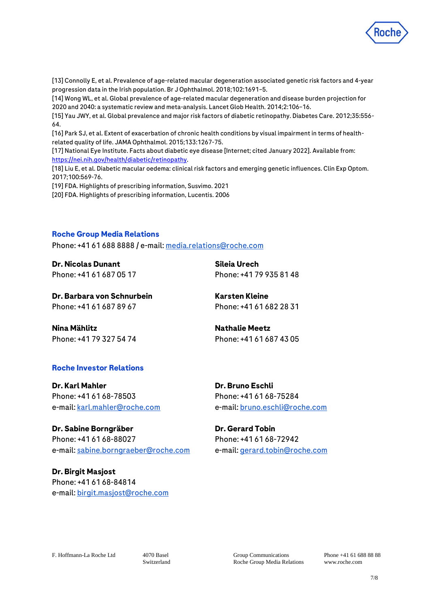

[13] Connolly E, et al. Prevalence of age-related macular degeneration associated genetic risk factors and 4-year progression data in the Irish population. Br J Ophthalmol. 2018;102:1691–5.

[14] Wong WL, et al. Global prevalence of age-related macular degeneration and disease burden projection for 2020 and 2040: a systematic review and meta-analysis. Lancet Glob Health. 2014;2:106–16.

[15] Yau JWY, et al. Global prevalence and major risk factors of diabetic retinopathy. Diabetes Care. 2012;35:556- 64.

[16] Park SJ, et al. Extent of exacerbation of chronic health conditions by visual impairment in terms of healthrelated quality of life. JAMA Ophthalmol. 2015;133:1267-75.

[17] National Eye Institute. Facts about diabetic eye disease [Internet; cited January 2022]. Available from: [https://nei.nih.gov/health/diabetic/retinopathy.](https://nei.nih.gov/health/diabetic/retinopathy)

[18] Liu E, et al. Diabetic macular oedema: clinical risk factors and emerging genetic influences. Clin Exp Optom. 2017;100:569-76.

[19] FDA. Highlights of prescribing information, Susvimo. 2021

[20] FDA. Highlights of prescribing information, Lucentis. 2006

#### **Roche Group Media Relations**

Phone: +41 61 688 8888 / e-mail[: media.relations@roche.com](mailto:media.relations@roche.com)

**Dr. Nicolas Dunant** Phone: +41 61 687 05 17

**Sileia Urech** Phone: +41 79 935 81 48

**Dr. Barbara von Schnurbein**  Phone: +41 61 687 89 67

**Karsten Kleine** Phone: +41 61 682 28 31

**Nina Mählitz**  Phone: +41 79 327 54 74 **Nathalie Meetz** Phone: +41 61 687 43 05

#### **Roche Investor Relations**

**Dr. Karl Mahler** Phone: +41 61 68-78503 e-mail[: karl.mahler@roche.com](mailto:karl.mahler@roche.com)

**Dr. Sabine Borngräber** Phone: +41 61 68-88027 e-mail[: sabine.borngraeber@roche.com](mailto:sabine.borngraeber@roche.com) **Dr. Bruno Eschli** Phone: +41 61 68-75284 e-mail[: bruno.eschli@roche.com](mailto:bruno.eschli@roche.com)

**Dr. Gerard Tobin** Phone: +41 61 68-72942 e-mail[: gerard.tobin@roche.com](mailto:gerard.tobin@roche.com)

**Dr. Birgit Masjost** Phone: +41 61 68-84814 e-mail[: birgit.masjost@roche.com](mailto:birgit.masjost@roche.com)

F. Hoffmann-La Roche Ltd 4070 Basel

Switzerland

Group Communications Roche Group Media Relations